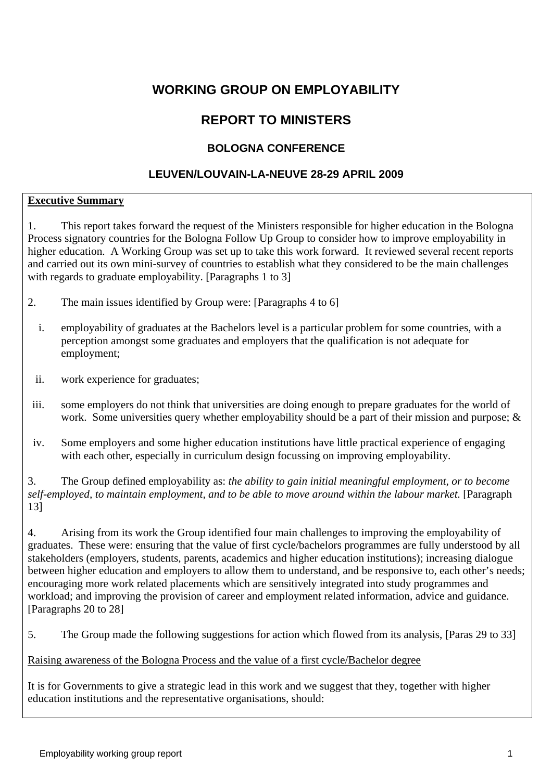# **WORKING GROUP ON EMPLOYABILITY**

# **REPORT TO MINISTERS**

# **BOLOGNA CONFERENCE**

## **LEUVEN/LOUVAIN-LA-NEUVE 28-29 APRIL 2009**

#### **Executive Summary**

1. This report takes forward the request of the Ministers responsible for higher education in the Bologna Process signatory countries for the Bologna Follow Up Group to consider how to improve employability in higher education. A Working Group was set up to take this work forward. It reviewed several recent reports and carried out its own mini-survey of countries to establish what they considered to be the main challenges with regards to graduate employability. [Paragraphs 1 to 3]

- 2. The main issues identified by Group were: [Paragraphs 4 to 6]
	- i. employability of graduates at the Bachelors level is a particular problem for some countries, with a perception amongst some graduates and employers that the qualification is not adequate for employment;
	- ii. work experience for graduates;
- iii. some employers do not think that universities are doing enough to prepare graduates for the world of work. Some universities query whether employability should be a part of their mission and purpose; &
- iv. Some employers and some higher education institutions have little practical experience of engaging with each other, especially in curriculum design focussing on improving employability.

3. The Group defined employability as: *the ability to gain initial meaningful employment, or to become self-employed, to maintain employment, and to be able to move around within the labour market.* [Paragraph 13]

4. Arising from its work the Group identified four main challenges to improving the employability of graduates. These were: ensuring that the value of first cycle/bachelors programmes are fully understood by all stakeholders (employers, students, parents, academics and higher education institutions); increasing dialogue between higher education and employers to allow them to understand, and be responsive to, each other's needs; encouraging more work related placements which are sensitively integrated into study programmes and workload; and improving the provision of career and employment related information, advice and guidance. [Paragraphs 20 to 28]

5. The Group made the following suggestions for action which flowed from its analysis, [Paras 29 to 33]

#### Raising awareness of the Bologna Process and the value of a first cycle/Bachelor degree

It is for Governments to give a strategic lead in this work and we suggest that they, together with higher education institutions and the representative organisations, should: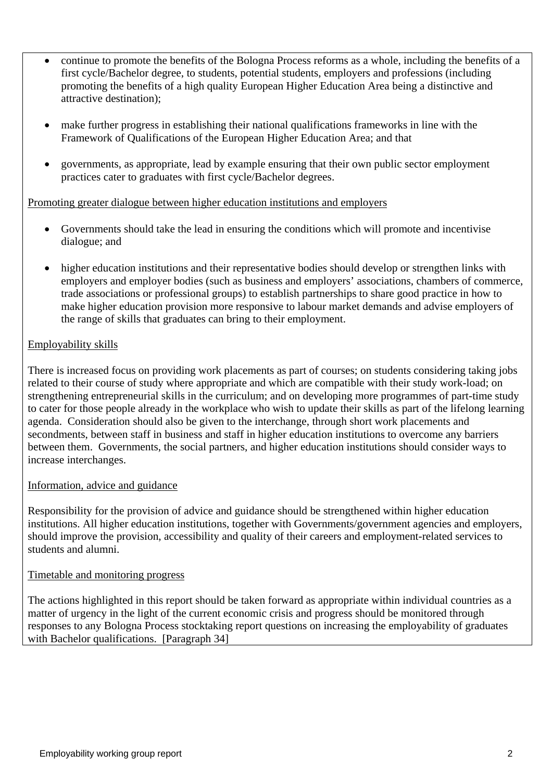- continue to promote the benefits of the Bologna Process reforms as a whole, including the benefits of a first cycle/Bachelor degree, to students, potential students, employers and professions (including promoting the benefits of a high quality European Higher Education Area being a distinctive and attractive destination);
- make further progress in establishing their national qualifications frameworks in line with the Framework of Qualifications of the European Higher Education Area; and that
- governments, as appropriate, lead by example ensuring that their own public sector employment practices cater to graduates with first cycle/Bachelor degrees.

#### Promoting greater dialogue between higher education institutions and employers

- Governments should take the lead in ensuring the conditions which will promote and incentivise dialogue; and
- higher education institutions and their representative bodies should develop or strengthen links with employers and employer bodies (such as business and employers' associations, chambers of commerce, trade associations or professional groups) to establish partnerships to share good practice in how to make higher education provision more responsive to labour market demands and advise employers of the range of skills that graduates can bring to their employment.

#### Employability skills

There is increased focus on providing work placements as part of courses; on students considering taking jobs related to their course of study where appropriate and which are compatible with their study work-load; on strengthening entrepreneurial skills in the curriculum; and on developing more programmes of part-time study to cater for those people already in the workplace who wish to update their skills as part of the lifelong learning agenda. Consideration should also be given to the interchange, through short work placements and secondments, between staff in business and staff in higher education institutions to overcome any barriers between them. Governments, the social partners, and higher education institutions should consider ways to increase interchanges.

#### Information, advice and guidance

Responsibility for the provision of advice and guidance should be strengthened within higher education institutions. All higher education institutions, together with Governments/government agencies and employers, should improve the provision, accessibility and quality of their careers and employment-related services to students and alumni.

#### Timetable and monitoring progress

The actions highlighted in this report should be taken forward as appropriate within individual countries as a matter of urgency in the light of the current economic crisis and progress should be monitored through responses to any Bologna Process stocktaking report questions on increasing the employability of graduates with Bachelor qualifications. [Paragraph 34]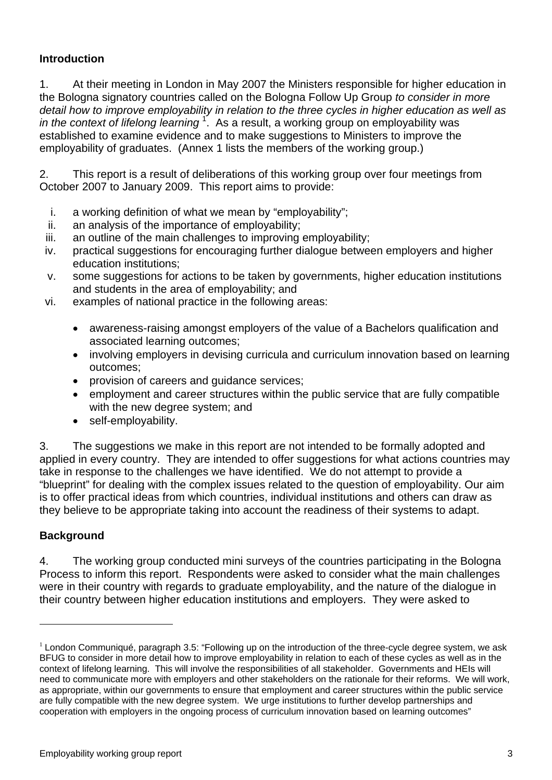# **Introduction**

1. At their meeting in London in May 2007 the Ministers responsible for higher education in the Bologna signatory countries called on the Bologna Follow Up Group *to consider in more detail how to improve employability in relation to the three cycles in higher education as well as*  in the context of lifelong learning<sup>1</sup>. As a result, a working group on employability was established to examine evidence and to make suggestions to Ministers to improve the employability of graduates. (Annex 1 lists the members of the working group.)

2. This report is a result of deliberations of this working group over four meetings from October 2007 to January 2009. This report aims to provide:

- i. a working definition of what we mean by "employability";
- ii. an analysis of the importance of employability;
- iii. an outline of the main challenges to improving employability;
- iv. practical suggestions for encouraging further dialogue between employers and higher education institutions;
- v. some suggestions for actions to be taken by governments, higher education institutions and students in the area of employability; and
- vi. examples of national practice in the following areas:
	- awareness-raising amongst employers of the value of a Bachelors qualification and associated learning outcomes;
	- involving employers in devising curricula and curriculum innovation based on learning outcomes;
	- provision of careers and guidance services;
	- employment and career structures within the public service that are fully compatible with the new degree system; and
	- self-employability.

3. The suggestions we make in this report are not intended to be formally adopted and applied in every country. They are intended to offer suggestions for what actions countries may take in response to the challenges we have identified. We do not attempt to provide a "blueprint" for dealing with the complex issues related to the question of employability. Our aim is to offer practical ideas from which countries, individual institutions and others can draw as they believe to be appropriate taking into account the readiness of their systems to adapt.

# **Background**

 $\overline{a}$ 

4. The working group conducted mini surveys of the countries participating in the Bologna Process to inform this report. Respondents were asked to consider what the main challenges were in their country with regards to graduate employability, and the nature of the dialogue in their country between higher education institutions and employers. They were asked to

 $1$  London Communiqué, paragraph 3.5: "Following up on the introduction of the three-cycle degree system, we ask BFUG to consider in more detail how to improve employability in relation to each of these cycles as well as in the context of lifelong learning. This will involve the responsibilities of all stakeholder. Governments and HEIs will need to communicate more with employers and other stakeholders on the rationale for their reforms. We will work, as appropriate, within our governments to ensure that employment and career structures within the public service are fully compatible with the new degree system. We urge institutions to further develop partnerships and cooperation with employers in the ongoing process of curriculum innovation based on learning outcomes"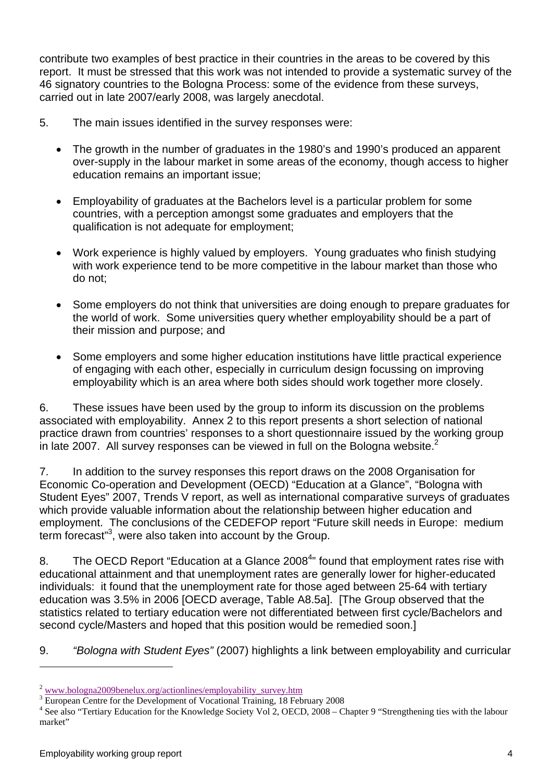contribute two examples of best practice in their countries in the areas to be covered by this report. It must be stressed that this work was not intended to provide a systematic survey of the 46 signatory countries to the Bologna Process: some of the evidence from these surveys, carried out in late 2007/early 2008, was largely anecdotal.

- 5. The main issues identified in the survey responses were:
	- The growth in the number of graduates in the 1980's and 1990's produced an apparent over-supply in the labour market in some areas of the economy, though access to higher education remains an important issue;
	- Employability of graduates at the Bachelors level is a particular problem for some countries, with a perception amongst some graduates and employers that the qualification is not adequate for employment;
	- Work experience is highly valued by employers. Young graduates who finish studying with work experience tend to be more competitive in the labour market than those who do not;
	- Some employers do not think that universities are doing enough to prepare graduates for the world of work. Some universities query whether employability should be a part of their mission and purpose; and
	- Some employers and some higher education institutions have little practical experience of engaging with each other, especially in curriculum design focussing on improving employability which is an area where both sides should work together more closely.

6. These issues have been used by the group to inform its discussion on the problems associated with employability. Annex 2 to this report presents a short selection of national practice drawn from countries' responses to a short questionnaire issued by the working group in late 2007. All survey responses can be viewed in full on the Bologna website.<sup>2</sup>

7. In addition to the survey responses this report draws on the 2008 Organisation for Economic Co-operation and Development (OECD) "Education at a Glance", "Bologna with Student Eyes" 2007, Trends V report, as well as international comparative surveys of graduates which provide valuable information about the relationship between higher education and employment. The conclusions of the CEDEFOP report "Future skill needs in Europe: medium term forecast"<sup>3</sup>, were also taken into account by the Group.

8. The OECD Report "Education at a Glance 2008<sup>4</sup>" found that employment rates rise with educational attainment and that unemployment rates are generally lower for higher-educated individuals: it found that the unemployment rate for those aged between 25-64 with tertiary education was 3.5% in 2006 [OECD average, Table A8.5a]. [The Group observed that the statistics related to tertiary education were not differentiated between first cycle/Bachelors and second cycle/Masters and hoped that this position would be remedied soon.]

9. *"Bologna with Student Eyes"* (2007) highlights a link between employability and curricular

 $\overline{a}$ 

<sup>2</sup> www.bologna2009benelux.org/actionlines/employability\_survey.htm 3

<sup>&</sup>lt;sup>3</sup> European Centre for the Development of Vocational Training, 18 February 2008

<sup>&</sup>lt;sup>4</sup> See also "Tertiary Education for the Knowledge Society Vol 2, OECD, 2008 – Chapter 9 "Strengthening ties with the labour market"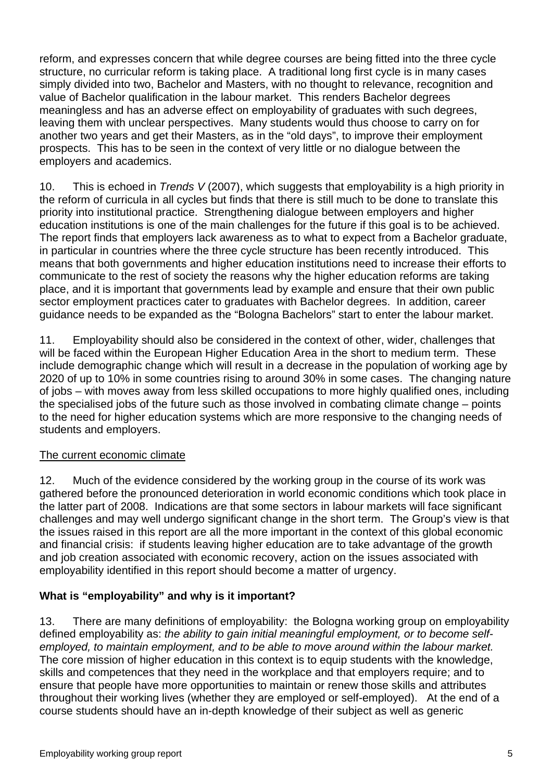reform, and expresses concern that while degree courses are being fitted into the three cycle structure, no curricular reform is taking place. A traditional long first cycle is in many cases simply divided into two, Bachelor and Masters, with no thought to relevance, recognition and value of Bachelor qualification in the labour market. This renders Bachelor degrees meaningless and has an adverse effect on employability of graduates with such degrees, leaving them with unclear perspectives. Many students would thus choose to carry on for another two years and get their Masters, as in the "old days", to improve their employment prospects. This has to be seen in the context of very little or no dialogue between the employers and academics.

10. This is echoed in *Trends V* (2007), which suggests that employability is a high priority in the reform of curricula in all cycles but finds that there is still much to be done to translate this priority into institutional practice. Strengthening dialogue between employers and higher education institutions is one of the main challenges for the future if this goal is to be achieved. The report finds that employers lack awareness as to what to expect from a Bachelor graduate, in particular in countries where the three cycle structure has been recently introduced. This means that both governments and higher education institutions need to increase their efforts to communicate to the rest of society the reasons why the higher education reforms are taking place, and it is important that governments lead by example and ensure that their own public sector employment practices cater to graduates with Bachelor degrees. In addition, career guidance needs to be expanded as the "Bologna Bachelors" start to enter the labour market.

11. Employability should also be considered in the context of other, wider, challenges that will be faced within the European Higher Education Area in the short to medium term. These include demographic change which will result in a decrease in the population of working age by 2020 of up to 10% in some countries rising to around 30% in some cases. The changing nature of jobs – with moves away from less skilled occupations to more highly qualified ones, including the specialised jobs of the future such as those involved in combating climate change – points to the need for higher education systems which are more responsive to the changing needs of students and employers.

# The current economic climate

12. Much of the evidence considered by the working group in the course of its work was gathered before the pronounced deterioration in world economic conditions which took place in the latter part of 2008. Indications are that some sectors in labour markets will face significant challenges and may well undergo significant change in the short term. The Group's view is that the issues raised in this report are all the more important in the context of this global economic and financial crisis: if students leaving higher education are to take advantage of the growth and job creation associated with economic recovery, action on the issues associated with employability identified in this report should become a matter of urgency.

# **What is "employability" and why is it important?**

13. There are many definitions of employability: the Bologna working group on employability defined employability as: *the ability to gain initial meaningful employment, or to become selfemployed, to maintain employment, and to be able to move around within the labour market.* The core mission of higher education in this context is to equip students with the knowledge, skills and competences that they need in the workplace and that employers require; and to ensure that people have more opportunities to maintain or renew those skills and attributes throughout their working lives (whether they are employed or self-employed). At the end of a course students should have an in-depth knowledge of their subject as well as generic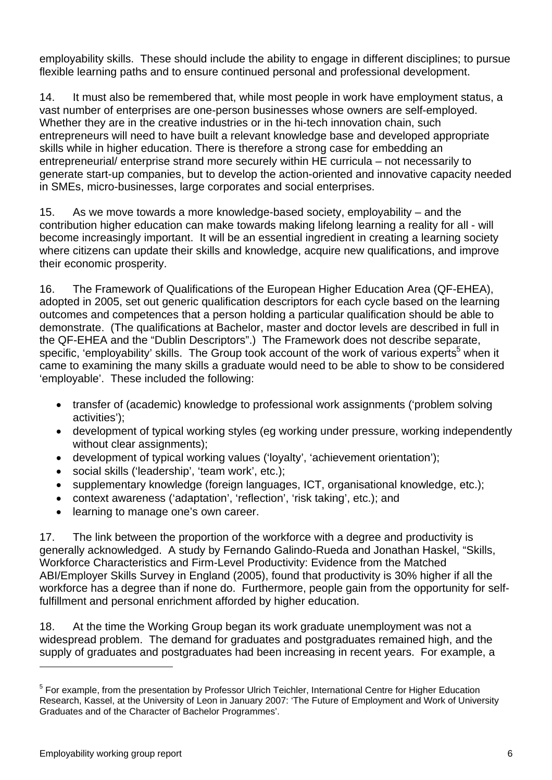employability skills. These should include the ability to engage in different disciplines; to pursue flexible learning paths and to ensure continued personal and professional development.

14. It must also be remembered that, while most people in work have employment status, a vast number of enterprises are one-person businesses whose owners are self-employed. Whether they are in the creative industries or in the hi-tech innovation chain, such entrepreneurs will need to have built a relevant knowledge base and developed appropriate skills while in higher education. There is therefore a strong case for embedding an entrepreneurial/ enterprise strand more securely within HE curricula – not necessarily to generate start-up companies, but to develop the action-oriented and innovative capacity needed in SMEs, micro-businesses, large corporates and social enterprises.

15. As we move towards a more knowledge-based society, employability – and the contribution higher education can make towards making lifelong learning a reality for all - will become increasingly important. It will be an essential ingredient in creating a learning society where citizens can update their skills and knowledge, acquire new qualifications, and improve their economic prosperity.

16. The Framework of Qualifications of the European Higher Education Area (QF-EHEA), adopted in 2005, set out generic qualification descriptors for each cycle based on the learning outcomes and competences that a person holding a particular qualification should be able to demonstrate. (The qualifications at Bachelor, master and doctor levels are described in full in the QF-EHEA and the "Dublin Descriptors".) The Framework does not describe separate, specific, 'employability' skills. The Group took account of the work of various experts<sup>5</sup> when it came to examining the many skills a graduate would need to be able to show to be considered 'employable'. These included the following:

- transfer of (academic) knowledge to professional work assignments ('problem solving activities');
- development of typical working styles (eg working under pressure, working independently without clear assignments);
- development of typical working values ('loyalty', 'achievement orientation');
- social skills ('leadership', 'team work', etc.);
- supplementary knowledge (foreign languages, ICT, organisational knowledge, etc.);
- context awareness ('adaptation', 'reflection', 'risk taking', etc.); and
- learning to manage one's own career.

17. The link between the proportion of the workforce with a degree and productivity is generally acknowledged. A study by Fernando Galindo-Rueda and Jonathan Haskel, "Skills, Workforce Characteristics and Firm-Level Productivity: Evidence from the Matched ABI/Employer Skills Survey in England (2005), found that productivity is 30% higher if all the workforce has a degree than if none do. Furthermore, people gain from the opportunity for selffulfillment and personal enrichment afforded by higher education.

18. At the time the Working Group began its work graduate unemployment was not a widespread problem. The demand for graduates and postgraduates remained high, and the supply of graduates and postgraduates had been increasing in recent years. For example, a

 $\overline{a}$ 

<sup>&</sup>lt;sup>5</sup> For example, from the presentation by Professor Ulrich Teichler, International Centre for Higher Education Research, Kassel, at the University of Leon in January 2007: 'The Future of Employment and Work of University Graduates and of the Character of Bachelor Programmes'.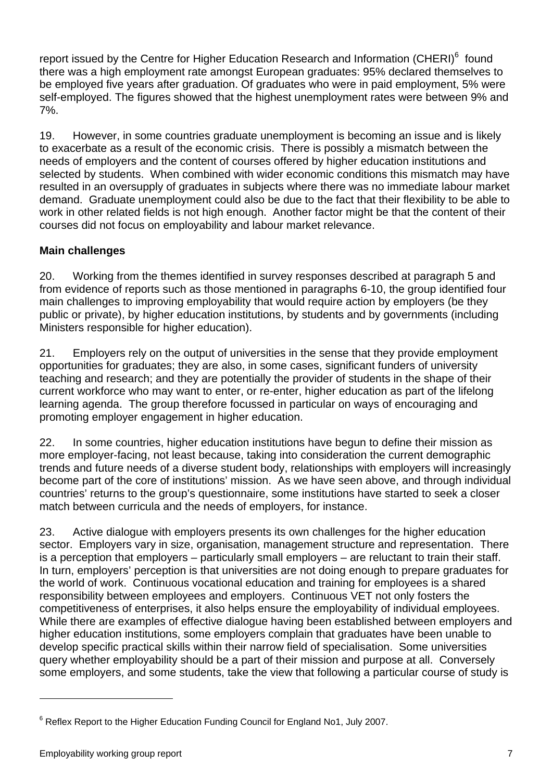report issued by the Centre for Higher Education Research and Information (CHERI)<sup>6</sup> found there was a high employment rate amongst European graduates: 95% declared themselves to be employed five years after graduation. Of graduates who were in paid employment, 5% were self-employed. The figures showed that the highest unemployment rates were between 9% and 7%.

19. However, in some countries graduate unemployment is becoming an issue and is likely to exacerbate as a result of the economic crisis. There is possibly a mismatch between the needs of employers and the content of courses offered by higher education institutions and selected by students. When combined with wider economic conditions this mismatch may have resulted in an oversupply of graduates in subjects where there was no immediate labour market demand. Graduate unemployment could also be due to the fact that their flexibility to be able to work in other related fields is not high enough. Another factor might be that the content of their courses did not focus on employability and labour market relevance.

# **Main challenges**

20. Working from the themes identified in survey responses described at paragraph 5 and from evidence of reports such as those mentioned in paragraphs 6-10, the group identified four main challenges to improving employability that would require action by employers (be they public or private), by higher education institutions, by students and by governments (including Ministers responsible for higher education).

21. Employers rely on the output of universities in the sense that they provide employment opportunities for graduates; they are also, in some cases, significant funders of university teaching and research; and they are potentially the provider of students in the shape of their current workforce who may want to enter, or re-enter, higher education as part of the lifelong learning agenda. The group therefore focussed in particular on ways of encouraging and promoting employer engagement in higher education.

22. In some countries, higher education institutions have begun to define their mission as more employer-facing, not least because, taking into consideration the current demographic trends and future needs of a diverse student body, relationships with employers will increasingly become part of the core of institutions' mission. As we have seen above, and through individual countries' returns to the group's questionnaire, some institutions have started to seek a closer match between curricula and the needs of employers, for instance.

23. Active dialogue with employers presents its own challenges for the higher education sector. Employers vary in size, organisation, management structure and representation. There is a perception that employers – particularly small employers – are reluctant to train their staff. In turn, employers' perception is that universities are not doing enough to prepare graduates for the world of work. Continuous vocational education and training for employees is a shared responsibility between employees and employers. Continuous VET not only fosters the competitiveness of enterprises, it also helps ensure the employability of individual employees. While there are examples of effective dialogue having been established between employers and higher education institutions, some employers complain that graduates have been unable to develop specific practical skills within their narrow field of specialisation. Some universities query whether employability should be a part of their mission and purpose at all. Conversely some employers, and some students, take the view that following a particular course of study is

 $\overline{a}$ 

 $6$  Reflex Report to the Higher Education Funding Council for England No1, July 2007.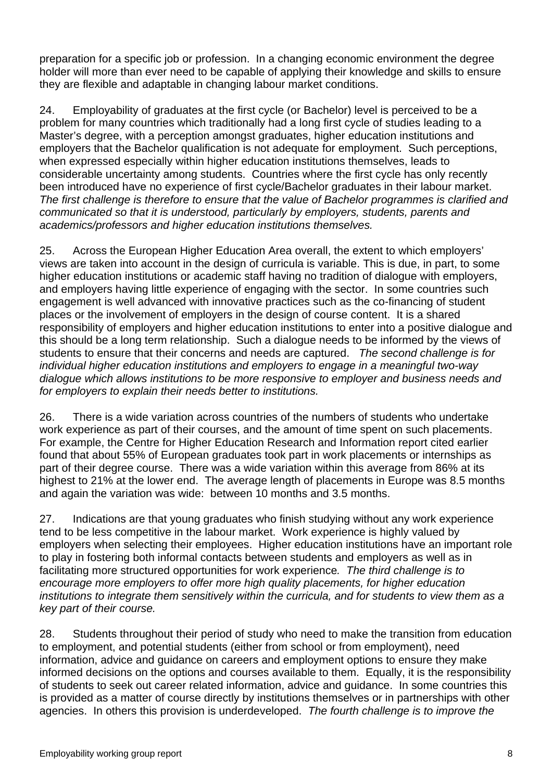preparation for a specific job or profession. In a changing economic environment the degree holder will more than ever need to be capable of applying their knowledge and skills to ensure they are flexible and adaptable in changing labour market conditions.

24. Employability of graduates at the first cycle (or Bachelor) level is perceived to be a problem for many countries which traditionally had a long first cycle of studies leading to a Master's degree, with a perception amongst graduates, higher education institutions and employers that the Bachelor qualification is not adequate for employment. Such perceptions, when expressed especially within higher education institutions themselves, leads to considerable uncertainty among students. Countries where the first cycle has only recently been introduced have no experience of first cycle/Bachelor graduates in their labour market. *The first challenge is therefore to ensure that the value of Bachelor programmes is clarified and communicated so that it is understood, particularly by employers, students, parents and academics/professors and higher education institutions themselves.*

25. Across the European Higher Education Area overall, the extent to which employers' views are taken into account in the design of curricula is variable. This is due, in part, to some higher education institutions or academic staff having no tradition of dialogue with employers, and employers having little experience of engaging with the sector. In some countries such engagement is well advanced with innovative practices such as the co-financing of student places or the involvement of employers in the design of course content. It is a shared responsibility of employers and higher education institutions to enter into a positive dialogue and this should be a long term relationship. Such a dialogue needs to be informed by the views of students to ensure that their concerns and needs are captured. *The second challenge is for individual higher education institutions and employers to engage in a meaningful two-way dialogue which allows institutions to be more responsive to employer and business needs and for employers to explain their needs better to institutions.*

26. There is a wide variation across countries of the numbers of students who undertake work experience as part of their courses, and the amount of time spent on such placements. For example, the Centre for Higher Education Research and Information report cited earlier found that about 55% of European graduates took part in work placements or internships as part of their degree course. There was a wide variation within this average from 86% at its highest to 21% at the lower end. The average length of placements in Europe was 8.5 months and again the variation was wide: between 10 months and 3.5 months.

27. Indications are that young graduates who finish studying without any work experience tend to be less competitive in the labour market. Work experience is highly valued by employers when selecting their employees. Higher education institutions have an important role to play in fostering both informal contacts between students and employers as well as in facilitating more structured opportunities for work experience*. The third challenge is to encourage more employers to offer more high quality placements, for higher education institutions to integrate them sensitively within the curricula, and for students to view them as a key part of their course.*

28. Students throughout their period of study who need to make the transition from education to employment, and potential students (either from school or from employment), need information, advice and guidance on careers and employment options to ensure they make informed decisions on the options and courses available to them. Equally, it is the responsibility of students to seek out career related information, advice and guidance. In some countries this is provided as a matter of course directly by institutions themselves or in partnerships with other agencies. In others this provision is underdeveloped. *The fourth challenge is to improve the*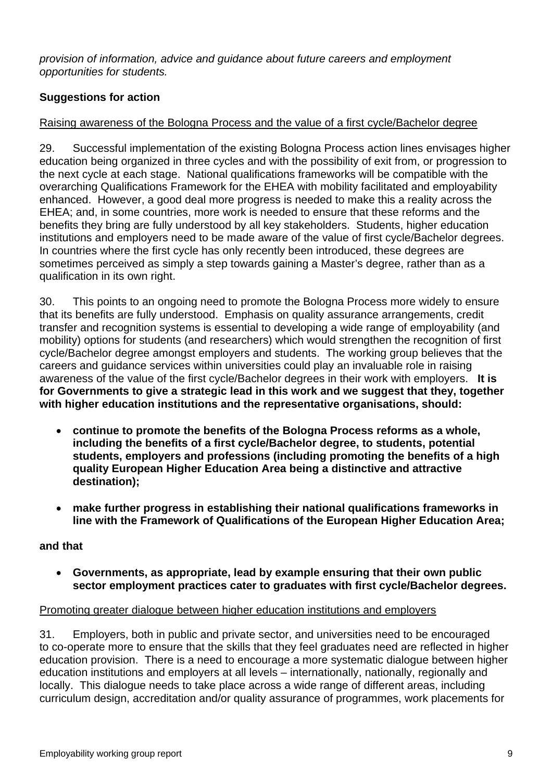*provision of information, advice and guidance about future careers and employment opportunities for students.* 

# **Suggestions for action**

# Raising awareness of the Bologna Process and the value of a first cycle/Bachelor degree

29. Successful implementation of the existing Bologna Process action lines envisages higher education being organized in three cycles and with the possibility of exit from, or progression to the next cycle at each stage. National qualifications frameworks will be compatible with the overarching Qualifications Framework for the EHEA with mobility facilitated and employability enhanced. However, a good deal more progress is needed to make this a reality across the EHEA; and, in some countries, more work is needed to ensure that these reforms and the benefits they bring are fully understood by all key stakeholders. Students, higher education institutions and employers need to be made aware of the value of first cycle/Bachelor degrees. In countries where the first cycle has only recently been introduced, these degrees are sometimes perceived as simply a step towards gaining a Master's degree, rather than as a qualification in its own right.

30. This points to an ongoing need to promote the Bologna Process more widely to ensure that its benefits are fully understood. Emphasis on quality assurance arrangements, credit transfer and recognition systems is essential to developing a wide range of employability (and mobility) options for students (and researchers) which would strengthen the recognition of first cycle/Bachelor degree amongst employers and students. The working group believes that the careers and guidance services within universities could play an invaluable role in raising awareness of the value of the first cycle/Bachelor degrees in their work with employers. **It is for Governments to give a strategic lead in this work and we suggest that they, together with higher education institutions and the representative organisations, should:** 

- **continue to promote the benefits of the Bologna Process reforms as a whole, including the benefits of a first cycle/Bachelor degree, to students, potential students, employers and professions (including promoting the benefits of a high quality European Higher Education Area being a distinctive and attractive destination);**
- **make further progress in establishing their national qualifications frameworks in line with the Framework of Qualifications of the European Higher Education Area;**

# **and that**

• **Governments, as appropriate, lead by example ensuring that their own public sector employment practices cater to graduates with first cycle/Bachelor degrees.** 

# Promoting greater dialogue between higher education institutions and employers

31. Employers, both in public and private sector, and universities need to be encouraged to co-operate more to ensure that the skills that they feel graduates need are reflected in higher education provision. There is a need to encourage a more systematic dialogue between higher education institutions and employers at all levels – internationally, nationally, regionally and locally. This dialogue needs to take place across a wide range of different areas, including curriculum design, accreditation and/or quality assurance of programmes, work placements for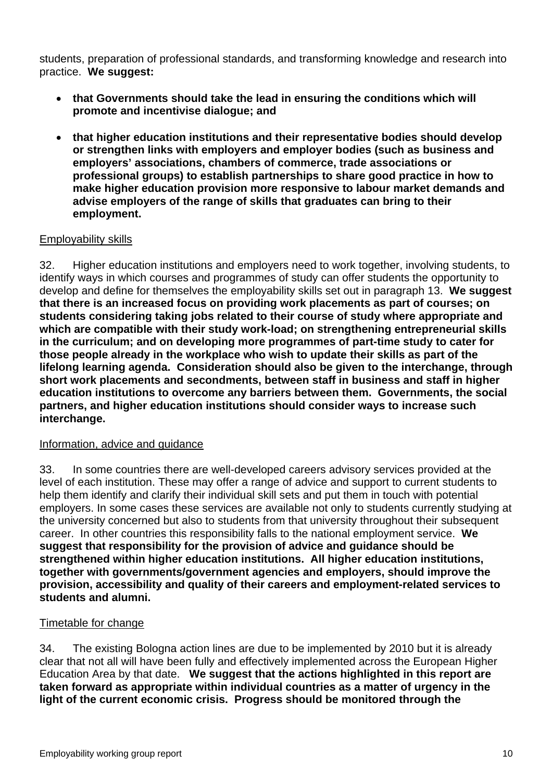students, preparation of professional standards, and transforming knowledge and research into practice. **We suggest:** 

- **that Governments should take the lead in ensuring the conditions which will promote and incentivise dialogue; and**
- **that higher education institutions and their representative bodies should develop or strengthen links with employers and employer bodies (such as business and employers' associations, chambers of commerce, trade associations or professional groups) to establish partnerships to share good practice in how to make higher education provision more responsive to labour market demands and advise employers of the range of skills that graduates can bring to their employment.**

# Employability skills

32. Higher education institutions and employers need to work together, involving students, to identify ways in which courses and programmes of study can offer students the opportunity to develop and define for themselves the employability skills set out in paragraph 13. **We suggest that there is an increased focus on providing work placements as part of courses; on students considering taking jobs related to their course of study where appropriate and which are compatible with their study work-load; on strengthening entrepreneurial skills in the curriculum; and on developing more programmes of part-time study to cater for those people already in the workplace who wish to update their skills as part of the lifelong learning agenda. Consideration should also be given to the interchange, through short work placements and secondments, between staff in business and staff in higher education institutions to overcome any barriers between them. Governments, the social partners, and higher education institutions should consider ways to increase such interchange.**

#### Information, advice and guidance

33. In some countries there are well-developed careers advisory services provided at the level of each institution. These may offer a range of advice and support to current students to help them identify and clarify their individual skill sets and put them in touch with potential employers. In some cases these services are available not only to students currently studying at the university concerned but also to students from that university throughout their subsequent career. In other countries this responsibility falls to the national employment service. **We suggest that responsibility for the provision of advice and guidance should be strengthened within higher education institutions. All higher education institutions, together with governments/government agencies and employers, should improve the provision, accessibility and quality of their careers and employment-related services to students and alumni.** 

#### Timetable for change

34. The existing Bologna action lines are due to be implemented by 2010 but it is already clear that not all will have been fully and effectively implemented across the European Higher Education Area by that date. **We suggest that the actions highlighted in this report are taken forward as appropriate within individual countries as a matter of urgency in the light of the current economic crisis. Progress should be monitored through the**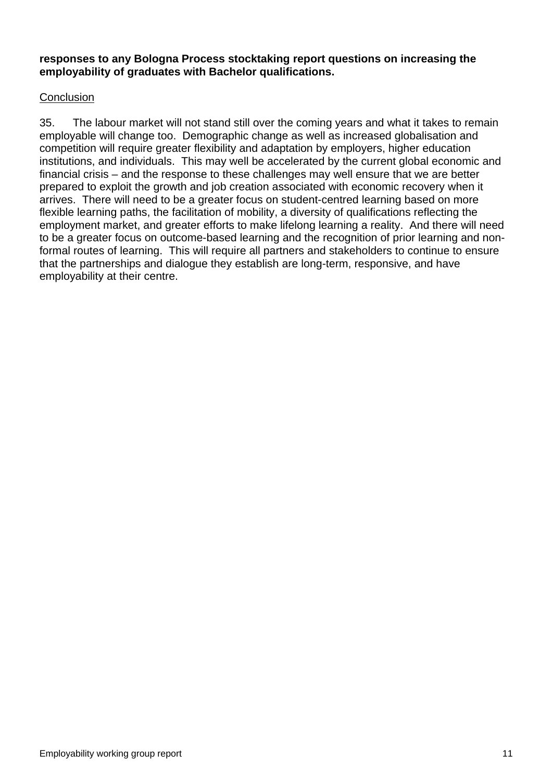#### **responses to any Bologna Process stocktaking report questions on increasing the employability of graduates with Bachelor qualifications.**

## **Conclusion**

35. The labour market will not stand still over the coming years and what it takes to remain employable will change too. Demographic change as well as increased globalisation and competition will require greater flexibility and adaptation by employers, higher education institutions, and individuals. This may well be accelerated by the current global economic and financial crisis – and the response to these challenges may well ensure that we are better prepared to exploit the growth and job creation associated with economic recovery when it arrives. There will need to be a greater focus on student-centred learning based on more flexible learning paths, the facilitation of mobility, a diversity of qualifications reflecting the employment market, and greater efforts to make lifelong learning a reality. And there will need to be a greater focus on outcome-based learning and the recognition of prior learning and nonformal routes of learning. This will require all partners and stakeholders to continue to ensure that the partnerships and dialogue they establish are long-term, responsive, and have employability at their centre.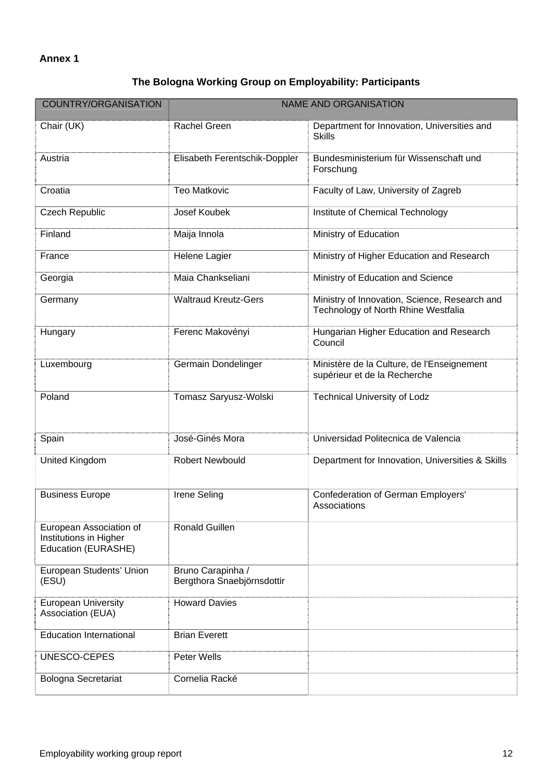# **Annex 1**

# **The Bologna Working Group on Employability: Participants**

| COUNTRY/ORGANISATION                                                     | <b>NAME AND ORGANISATION</b>                    |                                                                                      |
|--------------------------------------------------------------------------|-------------------------------------------------|--------------------------------------------------------------------------------------|
| Chair (UK)                                                               | <b>Rachel Green</b>                             | Department for Innovation, Universities and<br><b>Skills</b>                         |
| Austria                                                                  | Elisabeth Ferentschik-Doppler                   | Bundesministerium für Wissenschaft und<br>Forschung                                  |
| Croatia                                                                  | <b>Teo Matkovic</b>                             | Faculty of Law, University of Zagreb                                                 |
| <b>Czech Republic</b>                                                    | Josef Koubek                                    | Institute of Chemical Technology                                                     |
| Finland                                                                  | Maija Innola                                    | Ministry of Education                                                                |
| France                                                                   | Helene Lagier                                   | Ministry of Higher Education and Research                                            |
| Georgia                                                                  | Maia Chankseliani                               | Ministry of Education and Science                                                    |
| Germany                                                                  | <b>Waltraud Kreutz-Gers</b>                     | Ministry of Innovation, Science, Research and<br>Technology of North Rhine Westfalia |
| Hungary                                                                  | Ferenc Makovényi                                | Hungarian Higher Education and Research<br>Council                                   |
| Luxembourg                                                               | Germain Dondelinger                             | Ministère de la Culture, de l'Enseignement<br>supérieur et de la Recherche           |
| Poland                                                                   | Tomasz Saryusz-Wolski                           | <b>Technical University of Lodz</b>                                                  |
| Spain                                                                    | José-Ginés Mora                                 | Universidad Politecnica de Valencia                                                  |
| United Kingdom                                                           | <b>Robert Newbould</b>                          | Department for Innovation, Universities & Skills                                     |
| <b>Business Europe</b>                                                   | <b>Irene Seling</b>                             | <b>Confederation of German Employers'</b><br>Associations                            |
| European Association of<br>Institutions in Higher<br>Education (EURASHE) | <b>Ronald Guillen</b>                           |                                                                                      |
| European Students' Union<br>(ESU)                                        | Bruno Carapinha /<br>Bergthora Snaebjörnsdottir |                                                                                      |
| <b>European University</b><br>Association (EUA)                          | <b>Howard Davies</b>                            |                                                                                      |
| <b>Education International</b>                                           | <b>Brian Everett</b>                            |                                                                                      |
| UNESCO-CEPES                                                             | Peter Wells                                     |                                                                                      |
| <b>Bologna Secretariat</b>                                               | Cornelia Racké                                  |                                                                                      |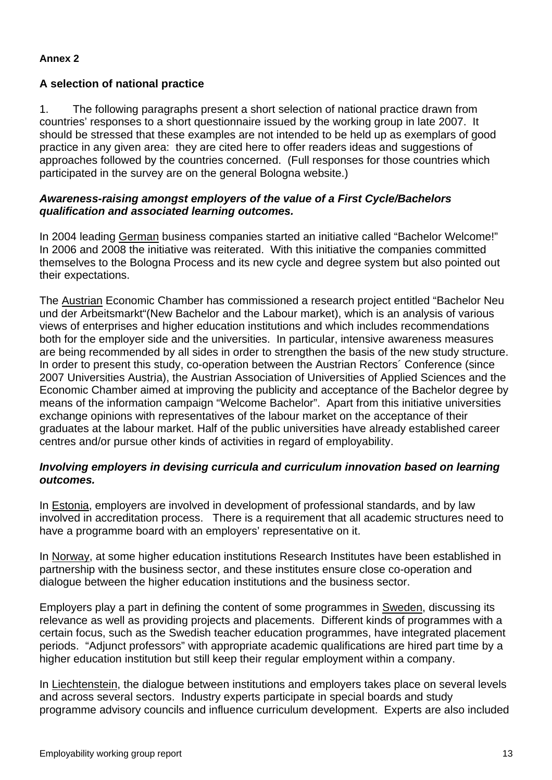#### **Annex 2**

## **A selection of national practice**

1. The following paragraphs present a short selection of national practice drawn from countries' responses to a short questionnaire issued by the working group in late 2007. It should be stressed that these examples are not intended to be held up as exemplars of good practice in any given area: they are cited here to offer readers ideas and suggestions of approaches followed by the countries concerned. (Full responses for those countries which participated in the survey are on the general Bologna website.)

#### *Awareness-raising amongst employers of the value of a First Cycle/Bachelors qualification and associated learning outcomes.*

In 2004 leading German business companies started an initiative called "Bachelor Welcome!" In 2006 and 2008 the initiative was reiterated. With this initiative the companies committed themselves to the Bologna Process and its new cycle and degree system but also pointed out their expectations.

The Austrian Economic Chamber has commissioned a research project entitled "Bachelor Neu und der Arbeitsmarkt"(New Bachelor and the Labour market), which is an analysis of various views of enterprises and higher education institutions and which includes recommendations both for the employer side and the universities. In particular, intensive awareness measures are being recommended by all sides in order to strengthen the basis of the new study structure. In order to present this study, co-operation between the Austrian Rectors´ Conference (since 2007 Universities Austria), the Austrian Association of Universities of Applied Sciences and the Economic Chamber aimed at improving the publicity and acceptance of the Bachelor degree by means of the information campaign "Welcome Bachelor". Apart from this initiative universities exchange opinions with representatives of the labour market on the acceptance of their graduates at the labour market. Half of the public universities have already established career centres and/or pursue other kinds of activities in regard of employability.

#### *Involving employers in devising curricula and curriculum innovation based on learning outcomes.*

In Estonia, employers are involved in development of professional standards, and by law involved in accreditation process. There is a requirement that all academic structures need to have a programme board with an employers' representative on it.

In Norway, at some higher education institutions Research Institutes have been established in partnership with the business sector, and these institutes ensure close co-operation and dialogue between the higher education institutions and the business sector.

Employers play a part in defining the content of some programmes in Sweden, discussing its relevance as well as providing projects and placements. Different kinds of programmes with a certain focus, such as the Swedish teacher education programmes, have integrated placement periods. "Adjunct professors" with appropriate academic qualifications are hired part time by a higher education institution but still keep their regular employment within a company.

In Liechtenstein, the dialogue between institutions and employers takes place on several levels and across several sectors. Industry experts participate in special boards and study programme advisory councils and influence curriculum development. Experts are also included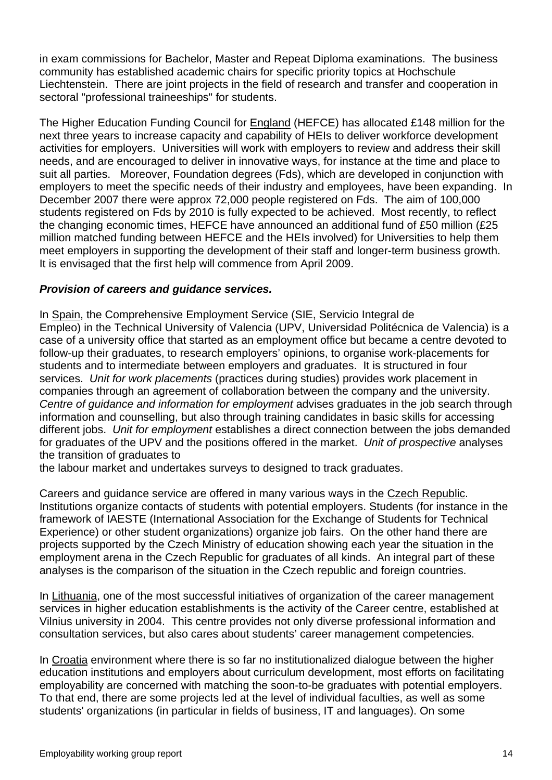in exam commissions for Bachelor, Master and Repeat Diploma examinations. The business community has established academic chairs for specific priority topics at Hochschule Liechtenstein. There are joint projects in the field of research and transfer and cooperation in sectoral "professional traineeships" for students.

The Higher Education Funding Council for England (HEFCE) has allocated £148 million for the next three years to increase capacity and capability of HEIs to deliver workforce development activities for employers. Universities will work with employers to review and address their skill needs, and are encouraged to deliver in innovative ways, for instance at the time and place to suit all parties. Moreover, Foundation degrees (Fds), which are developed in conjunction with employers to meet the specific needs of their industry and employees, have been expanding. In December 2007 there were approx 72,000 people registered on Fds. The aim of 100,000 students registered on Fds by 2010 is fully expected to be achieved. Most recently, to reflect the changing economic times, HEFCE have announced an additional fund of £50 million (£25 million matched funding between HEFCE and the HEIs involved) for Universities to help them meet employers in supporting the development of their staff and longer-term business growth. It is envisaged that the first help will commence from April 2009.

## *Provision of careers and guidance services.*

In Spain, the Comprehensive Employment Service (SIE, Servicio Integral de Empleo) in the Technical University of Valencia (UPV, Universidad Politécnica de Valencia) is a case of a university office that started as an employment office but became a centre devoted to follow-up their graduates, to research employers' opinions, to organise work-placements for students and to intermediate between employers and graduates. It is structured in four services. *Unit for work placements* (practices during studies) provides work placement in companies through an agreement of collaboration between the company and the university. *Centre of guidance and information for employment* advises graduates in the job search through information and counselling, but also through training candidates in basic skills for accessing different jobs. *Unit for employment* establishes a direct connection between the jobs demanded for graduates of the UPV and the positions offered in the market. *Unit of prospective* analyses the transition of graduates to

the labour market and undertakes surveys to designed to track graduates.

Careers and guidance service are offered in many various ways in the Czech Republic. Institutions organize contacts of students with potential employers. Students (for instance in the framework of IAESTE (International Association for the Exchange of Students for Technical Experience) or other student organizations) organize job fairs. On the other hand there are projects supported by the Czech Ministry of education showing each year the situation in the employment arena in the Czech Republic for graduates of all kinds. An integral part of these analyses is the comparison of the situation in the Czech republic and foreign countries.

In Lithuania, one of the most successful initiatives of organization of the career management services in higher education establishments is the activity of the Career centre, established at Vilnius university in 2004. This centre provides not only diverse professional information and consultation services, but also cares about students' career management competencies.

In Croatia environment where there is so far no institutionalized dialogue between the higher education institutions and employers about curriculum development, most efforts on facilitating employability are concerned with matching the soon-to-be graduates with potential employers. To that end, there are some projects led at the level of individual faculties, as well as some students' organizations (in particular in fields of business, IT and languages). On some